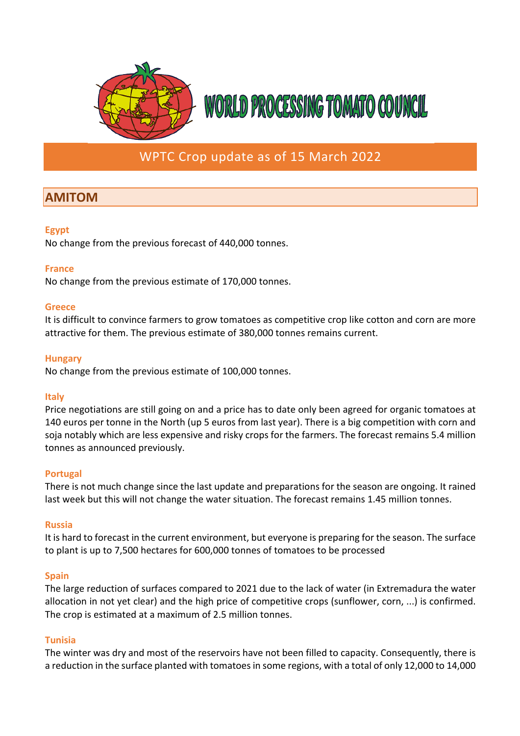

## WPTC Crop update as of 15 March 2022

# **AMITOM**

#### **Egypt**

No change from the previous forecast of 440,000 tonnes.

#### **France**

No change from the previous estimate of 170,000 tonnes.

#### **Greece**

It is difficult to convince farmers to grow tomatoes as competitive crop like cotton and corn are more attractive for them. The previous estimate of 380,000 tonnes remains current.

#### **Hungary**

No change from the previous estimate of 100,000 tonnes.

#### **Italy**

Price negotiations are still going on and a price has to date only been agreed for organic tomatoes at 140 euros per tonne in the North (up 5 euros from last year). There is a big competition with corn and soja notably which are less expensive and risky crops for the farmers. The forecast remains 5.4 million tonnes as announced previously.

### **Portugal**

There is not much change since the last update and preparations for the season are ongoing. It rained last week but this will not change the water situation. The forecast remains 1.45 million tonnes.

#### **Russia**

It is hard to forecast in the current environment, but everyone is preparing for the season. The surface to plant is up to 7,500 hectares for 600,000 tonnes of tomatoes to be processed

### **Spain**

The large reduction of surfaces compared to 2021 due to the lack of water (in Extremadura the water allocation in not yet clear) and the high price of competitive crops (sunflower, corn, ...) is confirmed. The crop is estimated at a maximum of 2.5 million tonnes.

#### **Tunisia**

The winter was dry and most of the reservoirs have not been filled to capacity. Consequently, there is a reduction in the surface planted with tomatoes in some regions, with a total of only 12,000 to 14,000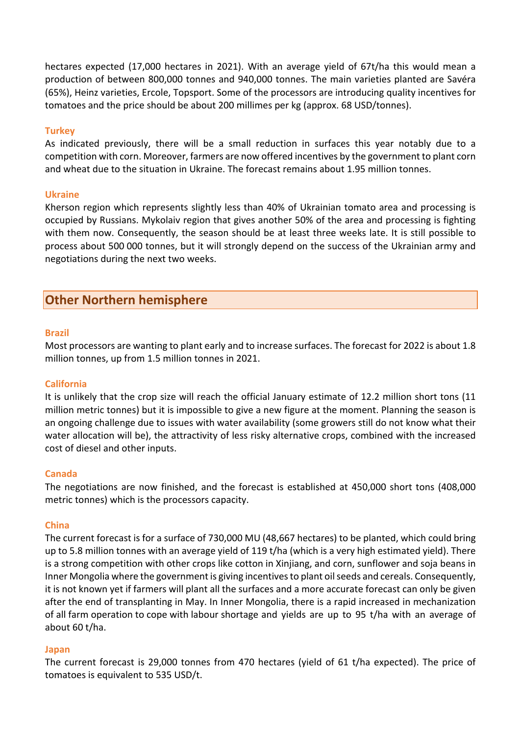hectares expected (17,000 hectares in 2021). With an average yield of 67t/ha this would mean a production of between 800,000 tonnes and 940,000 tonnes. The main varieties planted are Savéra (65%), Heinz varieties, Ercole, Topsport. Some of the processors are introducing quality incentives for tomatoes and the price should be about 200 millimes per kg (approx. 68 USD/tonnes).

#### **Turkey**

As indicated previously, there will be a small reduction in surfaces this year notably due to a competition with corn. Moreover, farmers are now offered incentives by the government to plant corn and wheat due to the situation in Ukraine. The forecast remains about 1.95 million tonnes.

#### **Ukraine**

Kherson region which represents slightly less than 40% of Ukrainian tomato area and processing is occupied by Russians. Mykolaiv region that gives another 50% of the area and processing is fighting with them now. Consequently, the season should be at least three weeks late. It is still possible to process about 500 000 tonnes, but it will strongly depend on the success of the Ukrainian army and negotiations during the next two weeks.

## **Other Northern hemisphere**

#### **Brazil**

Most processors are wanting to plant early and to increase surfaces. The forecast for 2022 is about 1.8 million tonnes, up from 1.5 million tonnes in 2021.

#### **California**

It is unlikely that the crop size will reach the official January estimate of 12.2 million short tons (11 million metric tonnes) but it is impossible to give a new figure at the moment. Planning the season is an ongoing challenge due to issues with water availability (some growers still do not know what their water allocation will be), the attractivity of less risky alternative crops, combined with the increased cost of diesel and other inputs.

#### **Canada**

The negotiations are now finished, and the forecast is established at 450,000 short tons (408,000 metric tonnes) which is the processors capacity.

#### **China**

The current forecast is for a surface of 730,000 MU (48,667 hectares) to be planted, which could bring up to 5.8 million tonnes with an average yield of 119 t/ha (which is a very high estimated yield). There is a strong competition with other crops like cotton in Xinjiang, and corn, sunflower and soja beans in Inner Mongolia where the government is giving incentivesto plant oil seeds and cereals. Consequently, it is not known yet if farmers will plant all the surfaces and a more accurate forecast can only be given after the end of transplanting in May. In Inner Mongolia, there is a rapid increased in mechanization of all farm operation to cope with labour shortage and yields are up to 95 t/ha with an average of about 60 t/ha.

#### **Japan**

The current forecast is 29,000 tonnes from 470 hectares (yield of 61 t/ha expected). The price of tomatoes is equivalent to 535 USD/t.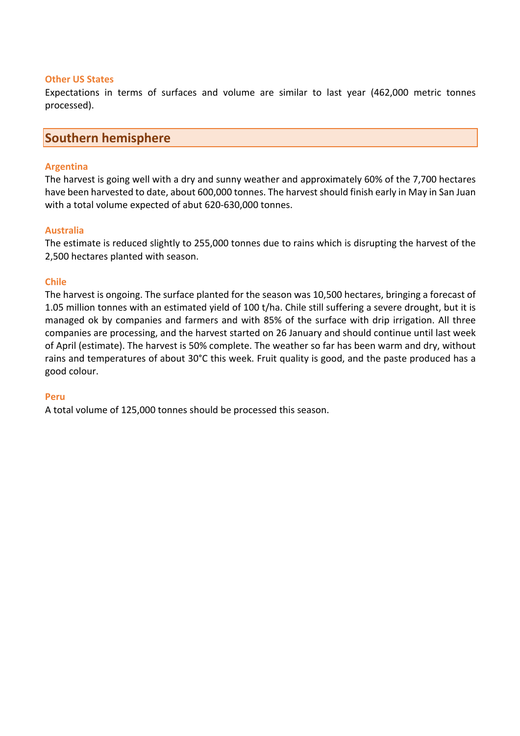#### **Other US States**

Expectations in terms of surfaces and volume are similar to last year (462,000 metric tonnes processed).

### **Southern hemisphere**

#### **Argentina**

The harvest is going well with a dry and sunny weather and approximately 60% of the 7,700 hectares have been harvested to date, about 600,000 tonnes. The harvest should finish early in May in San Juan with a total volume expected of abut 620-630,000 tonnes.

#### **Australia**

The estimate is reduced slightly to 255,000 tonnes due to rains which is disrupting the harvest of the 2,500 hectares planted with season.

#### **Chile**

The harvest is ongoing. The surface planted for the season was 10,500 hectares, bringing a forecast of 1.05 million tonnes with an estimated yield of 100 t/ha. Chile still suffering a severe drought, but it is managed ok by companies and farmers and with 85% of the surface with drip irrigation. All three companies are processing, and the harvest started on 26 January and should continue until last week of April (estimate). The harvest is 50% complete. The weather so far has been warm and dry, without rains and temperatures of about 30°C this week. Fruit quality is good, and the paste produced has a good colour.

#### **Peru**

A total volume of 125,000 tonnes should be processed this season.